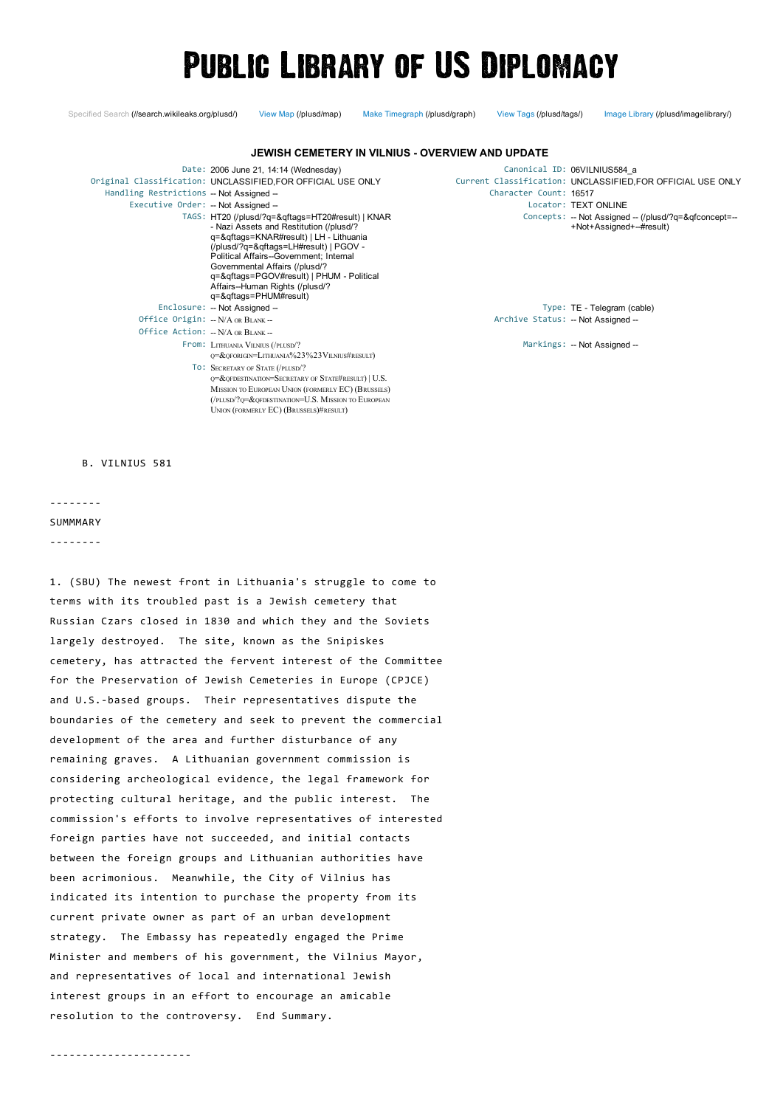# **PUBLIC LIBRARY OF US DIPLOMACY**

Specified Search [\(//search.wikileaks.org/plusd/\)](https://search.wikileaks.org/plusd/) View Map [\(/plusd/map\)](https://www.wikileaks.org/plusd/map) Make Timegraph [\(/plusd/graph\)](https://www.wikileaks.org/plusd/graph) View Tags [\(/plusd/tags/\)](https://www.wikileaks.org/plusd/tags/) Image Library [\(/plusd/imagelibrary/\)](https://www.wikileaks.org/plusd/imagelibrary/)

| JEWISH CEMETERY IN VILNIUS - OVERVIEW AND UPDATE                             |                                                                                                                                                                                                                                                                                                                                                                                                                                                                                   |                                    |                                                                                                                                                                                                          |
|------------------------------------------------------------------------------|-----------------------------------------------------------------------------------------------------------------------------------------------------------------------------------------------------------------------------------------------------------------------------------------------------------------------------------------------------------------------------------------------------------------------------------------------------------------------------------|------------------------------------|----------------------------------------------------------------------------------------------------------------------------------------------------------------------------------------------------------|
| Handling Restrictions - Not Assigned -<br>Executive Order: - Not Assigned -- | Date: 2006 June 21, 14:14 (Wednesday)<br>Original Classification: UNCLASSIFIED, FOR OFFICIAL USE ONLY<br>TAGS: HT20 (/plusd/?q=&qftags=HT20#result)   KNAR<br>- Nazi Assets and Restitution (/plusd/?<br>q=&qftags=KNAR#result)   LH - Lithuania<br>(/plusd/?q=&qftags=LH#result)   PGOV -<br>Political Affairs--Government; Internal<br>Governmental Affairs (/plusd/?<br>q=&qftags=PGOV#result)   PHUM - Political<br>Affairs--Human Rights (/plusd/?<br>q=&qftags=PHUM#result) | Character Count: 16517             | Canonical ID: 06VILNIUS584 a<br>Current Classification: UNCLASSIFIED, FOR OFFICIAL USE ONLY<br>Locator: TEXT ONLINE<br>Concepts: -- Not Assigned -- (/plusd/?q=&qfconcept=--<br>+Not+Assigned+--#result) |
|                                                                              | Enclosure: - Not Assigned --                                                                                                                                                                                                                                                                                                                                                                                                                                                      |                                    | Type: TE - Telegram (cable)                                                                                                                                                                              |
|                                                                              | Office Origin: $-N/A$ OR $B$ LANK --                                                                                                                                                                                                                                                                                                                                                                                                                                              | Archive Status: -- Not Assigned -- |                                                                                                                                                                                                          |
|                                                                              | Office Action: -- N/A OR BLANK --                                                                                                                                                                                                                                                                                                                                                                                                                                                 |                                    |                                                                                                                                                                                                          |
|                                                                              | From: LITHUANIA VILNIUS (/PLUSD/?<br>0=&OFORIGIN=LITHUANIA%23%23VILNIUS#RESULT)                                                                                                                                                                                                                                                                                                                                                                                                   |                                    | Markings: -- Not Assigned --                                                                                                                                                                             |
|                                                                              | TO: SECRETARY OF STATE (/PLUSD/?<br>Q=&QFDESTINATION=SECRETARY OF STATE#RESULT)   U.S.<br>MISSION TO EUROPEAN UNION (FORMERLY EC) (BRUSSELS)<br>(/PLUSD/?0=&OFDESTINATION=U.S. MISSION TO EUROPEAN<br>UNION (FORMERLY EC) (BRUSSELS)#RESULT)                                                                                                                                                                                                                                      |                                    |                                                                                                                                                                                                          |

B. VILNIUS 581

‐‐‐‐‐‐‐‐

**SUMMMARY** 

‐‐‐‐‐‐‐‐

1. (SBU) The newest front in Lithuania's struggle to come to terms with its troubled past is a Jewish cemetery that Russian Czars closed in 1830 and which they and the Soviets largely destroyed. The site, known as the Snipiskes cemetery, has attracted the fervent interest of the Committee for the Preservation of Jewish Cemeteries in Europe (CPJCE) and U.S.‐based groups. Their [representatives](http://www.reddit.com/submit?url=https%3A%2F%2Fwww.wikileaks.org%2Fplusd%2Fcables%2F06VILNIUS584_a.html) dispute the boundaries of the cemetery and seek to prevent the commercial development of the area and further [disturbance](http://twitter.com/home?status=https%3A%2F%2Fwww.wikileaks.org%2Fplusd%2Fcables%2F06VILNIUS584_a.html) of any remaining graves. A Lithuanian government commission is considering archeological evidence, the legal framework for protecting cultural heritage, and the public interest. The commission's efforts to involve [representatives](https://plus.google.com/share?url=https%3A%2F%2Fwww.wikileaks.org%2Fplusd%2Fcables%2F06VILNIUS584_a) of interested foreign parties have not succeeded, and initial contacts between the foreign groups and Lithuanian authorities have been [acrimonious.](http://www.facebook.com/sharer.php?s=100&p[title]=06VILNIUS584_a&p[summary]=Summary&p[url]=https%3A%2F%2Fwww.wikileaks.org%2Fplusd%2Fcables%2F06VILNIUS584_a.html) Meanwhile, the City of Vilnius has indicated its intention to purchase the property from its current private owner as part of an urban development strategy. The Embassy has repeatedly engaged the Prime Minister and members of his government, the Vilnius Mayor, and representatives of local and international Jewish interest groups in an effort to encourage an amicable resolution to the controversy. End Summary.

‐‐‐‐‐‐‐‐‐‐‐‐‐‐‐‐‐‐‐‐‐‐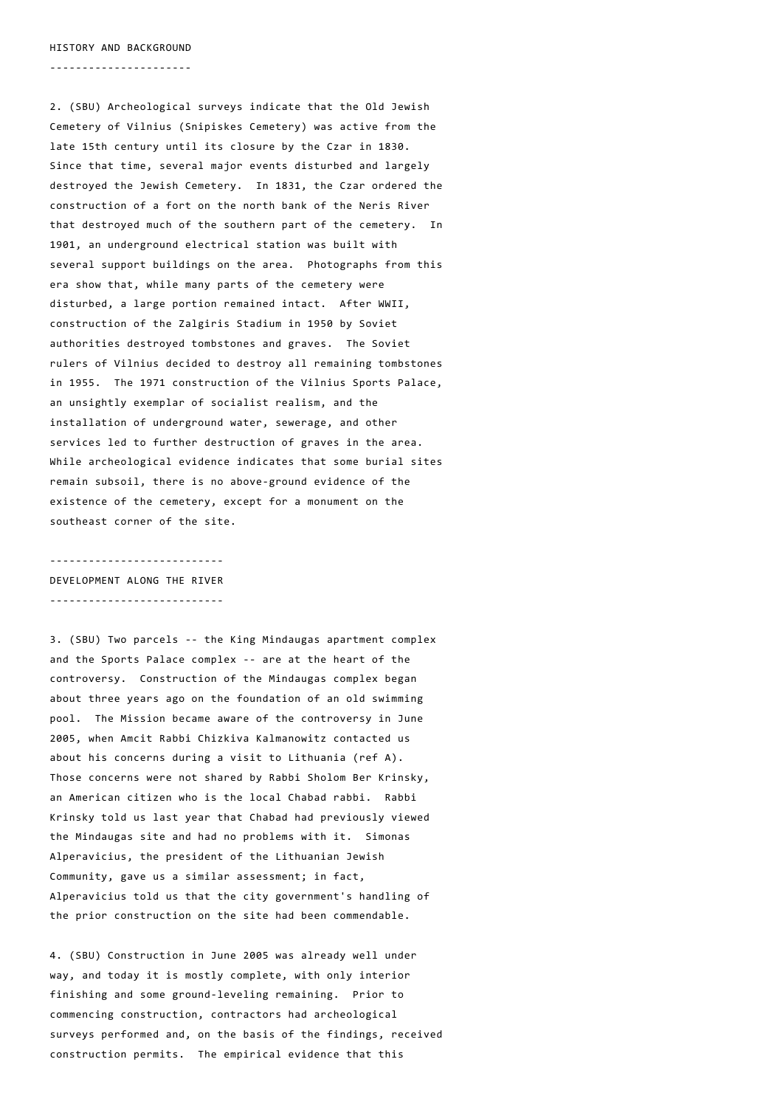HISTORY AND BACKGROUND

‐‐‐‐‐‐‐‐‐‐‐‐‐‐‐‐‐‐‐‐‐‐

2. (SBU) Archeological surveys indicate that the Old Jewish Cemetery of Vilnius (Snipiskes Cemetery) was active from the late 15th century until its closure by the Czar in 1830. Since that time, several major events disturbed and largely destroyed the Jewish Cemetery. In 1831, the Czar ordered the construction of a fort on the north bank of the Neris River that destroyed much of the southern part of the cemetery. In 1901, an underground electrical station was built with several support buildings on the area. Photographs from this era show that, while many parts of the cemetery were disturbed, a large portion remained intact. After WWII, construction of the Zalgiris Stadium in 1950 by Soviet authorities destroyed tombstones and graves. The Soviet rulers of Vilnius decided to destroy all remaining tombstones in 1955. The 1971 construction of the Vilnius Sports Palace, an unsightly exemplar of socialist realism, and the installation of underground water, sewerage, and other services led to further destruction of graves in the area. While archeological evidence indicates that some burial sites remain subsoil, there is no above‐ground evidence of the existence of the cemetery, except for a monument on the southeast corner of the site.

‐‐‐‐‐‐‐‐‐‐‐‐‐‐‐‐‐‐‐‐‐‐‐‐‐‐‐ DEVELOPMENT ALONG THE RIVER ‐‐‐‐‐‐‐‐‐‐‐‐‐‐‐‐‐‐‐‐‐‐‐‐‐‐‐

3. (SBU) Two parcels ‐‐ the King Mindaugas apartment complex and the Sports Palace complex ‐‐ are at the heart of the controversy. Construction of the Mindaugas complex began about three years ago on the foundation of an old swimming pool. The Mission became aware of the controversy in June 2005, when Amcit Rabbi Chizkiva Kalmanowitz contacted us about his concerns during a visit to Lithuania (ref A). Those concerns were not shared by Rabbi Sholom Ber Krinsky, an American citizen who is the local Chabad rabbi. Rabbi Krinsky told us last year that Chabad had previously viewed the Mindaugas site and had no problems with it. Simonas Alperavicius, the president of the Lithuanian Jewish Community, gave us a similar assessment; in fact, Alperavicius told us that the city government's handling of the prior construction on the site had been commendable.

4. (SBU) Construction in June 2005 was already well under way, and today it is mostly complete, with only interior finishing and some ground‐leveling remaining. Prior to commencing construction, contractors had archeological surveys performed and, on the basis of the findings, received construction permits. The empirical evidence that this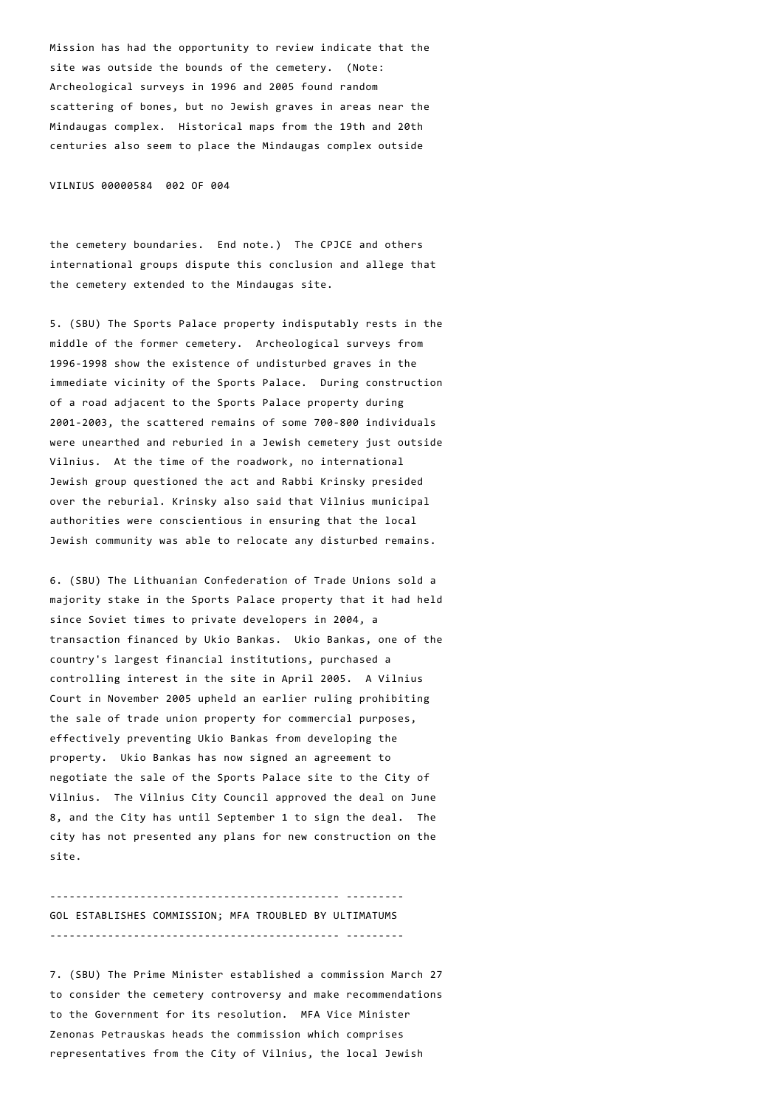Mission has had the opportunity to review indicate that the site was outside the bounds of the cemetery. (Note: Archeological surveys in 1996 and 2005 found random scattering of bones, but no Jewish graves in areas near the Mindaugas complex. Historical maps from the 19th and 20th centuries also seem to place the Mindaugas complex outside

VILNIUS 00000584 002 OF 004

the cemetery boundaries. End note.) The CPJCE and others international groups dispute this conclusion and allege that the cemetery extended to the Mindaugas site.

5. (SBU) The Sports Palace property indisputably rests in the middle of the former cemetery. Archeological surveys from 1996‐1998 show the existence of undisturbed graves in the immediate vicinity of the Sports Palace. During construction of a road adjacent to the Sports Palace property during 2001‐2003, the scattered remains of some 700‐800 individuals were unearthed and reburied in a Jewish cemetery just outside Vilnius. At the time of the roadwork, no international Jewish group questioned the act and Rabbi Krinsky presided over the reburial. Krinsky also said that Vilnius municipal authorities were conscientious in ensuring that the local Jewish community was able to relocate any disturbed remains.

6. (SBU) The Lithuanian Confederation of Trade Unions sold a majority stake in the Sports Palace property that it had held since Soviet times to private developers in 2004, a transaction financed by Ukio Bankas. Ukio Bankas, one of the country's largest financial institutions, purchased a controlling interest in the site in April 2005. A Vilnius Court in November 2005 upheld an earlier ruling prohibiting the sale of trade union property for commercial purposes, effectively preventing Ukio Bankas from developing the property. Ukio Bankas has now signed an agreement to negotiate the sale of the Sports Palace site to the City of Vilnius. The Vilnius City Council approved the deal on June 8, and the City has until September 1 to sign the deal. The city has not presented any plans for new construction on the site.

‐‐‐‐‐‐‐‐‐‐‐‐‐‐‐‐‐‐‐‐‐‐‐‐‐‐‐‐‐‐‐‐‐‐‐‐‐‐‐‐‐‐‐‐‐ ‐‐‐‐‐‐‐‐‐ GOL ESTABLISHES COMMISSION; MFA TROUBLED BY ULTIMATUMS ‐‐‐‐‐‐‐‐‐‐‐‐‐‐‐‐‐‐‐‐‐‐‐‐‐‐‐‐‐‐‐‐‐‐‐‐‐‐‐‐‐‐‐‐‐ ‐‐‐‐‐‐‐‐‐

7. (SBU) The Prime Minister established a commission March 27 to consider the cemetery controversy and make recommendations to the Government for its resolution. MFA Vice Minister Zenonas Petrauskas heads the commission which comprises representatives from the City of Vilnius, the local Jewish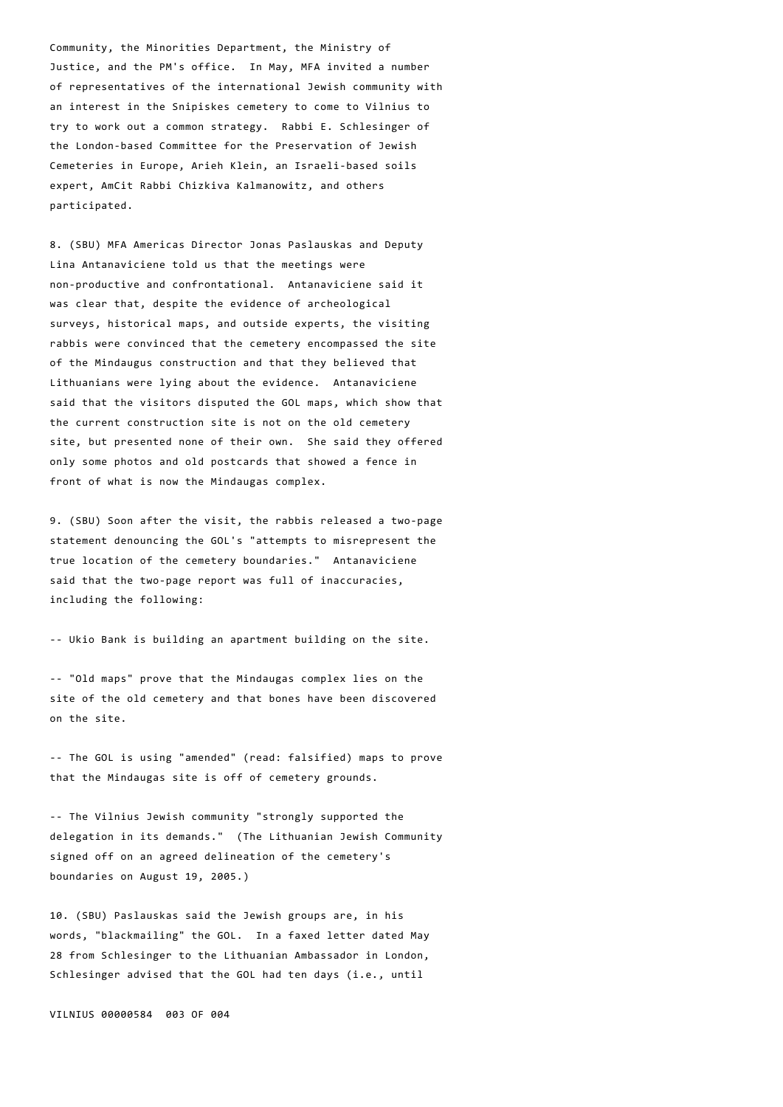Community, the Minorities Department, the Ministry of Justice, and the PM's office. In May, MFA invited a number of representatives of the international Jewish community with an interest in the Snipiskes cemetery to come to Vilnius to try to work out a common strategy. Rabbi E. Schlesinger of the London‐based Committee for the Preservation of Jewish Cemeteries in Europe, Arieh Klein, an Israeli‐based soils expert, AmCit Rabbi Chizkiva Kalmanowitz, and others participated.

8. (SBU) MFA Americas Director Jonas Paslauskas and Deputy Lina Antanaviciene told us that the meetings were non‐productive and confrontational. Antanaviciene said it was clear that, despite the evidence of archeological surveys, historical maps, and outside experts, the visiting rabbis were convinced that the cemetery encompassed the site of the Mindaugus construction and that they believed that Lithuanians were lying about the evidence. Antanaviciene said that the visitors disputed the GOL maps, which show that the current construction site is not on the old cemetery site, but presented none of their own. She said they offered only some photos and old postcards that showed a fence in front of what is now the Mindaugas complex.

9. (SBU) Soon after the visit, the rabbis released a two-page statement denouncing the GOL's "attempts to misrepresent the true location of the cemetery boundaries." Antanaviciene said that the two-page report was full of inaccuracies, including the following:

‐‐ Ukio Bank is building an apartment building on the site.

‐‐ "Old maps" prove that the Mindaugas complex lies on the site of the old cemetery and that bones have been discovered on the site.

‐‐ The GOL is using "amended" (read: falsified) maps to prove that the Mindaugas site is off of cemetery grounds.

‐‐ The Vilnius Jewish community "strongly supported the delegation in its demands." (The Lithuanian Jewish Community signed off on an agreed delineation of the cemetery's boundaries on August 19, 2005.)

10. (SBU) Paslauskas said the Jewish groups are, in his words, "blackmailing" the GOL. In a faxed letter dated May 28 from Schlesinger to the Lithuanian Ambassador in London, Schlesinger advised that the GOL had ten days (i.e., until

VILNIUS 00000584 003 OF 004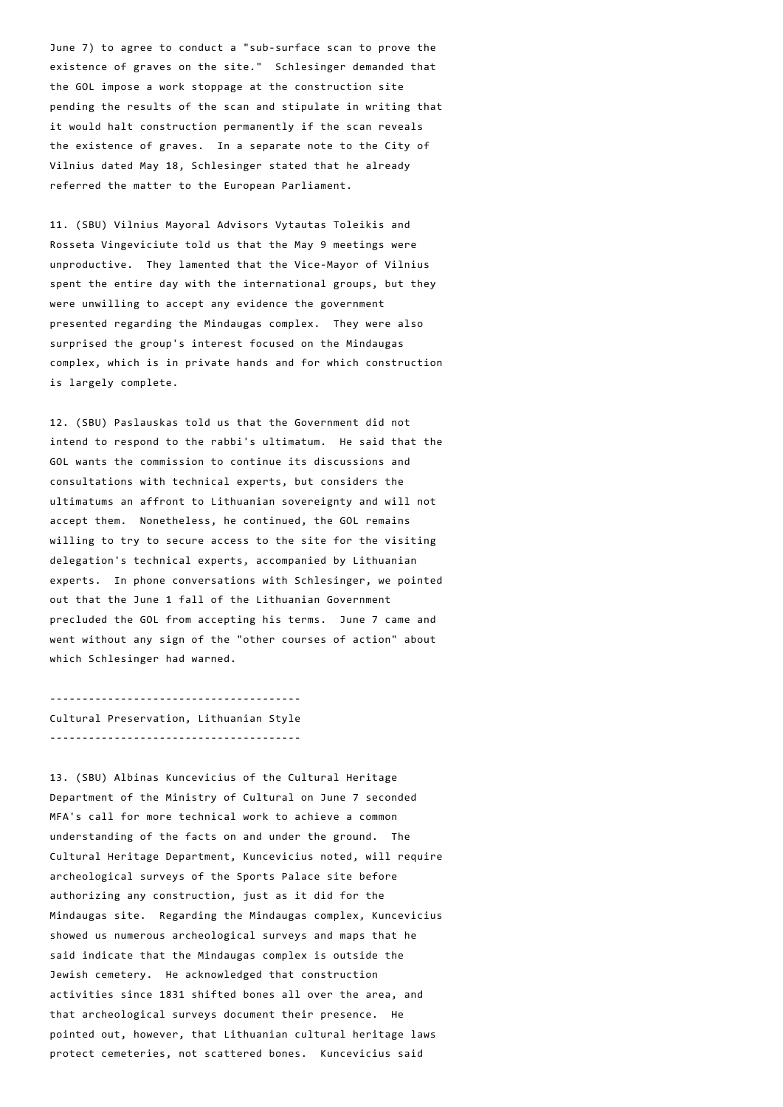June 7) to agree to conduct a "sub‐surface scan to prove the existence of graves on the site." Schlesinger demanded that the GOL impose a work stoppage at the construction site pending the results of the scan and stipulate in writing that it would halt construction permanently if the scan reveals the existence of graves. In a separate note to the City of Vilnius dated May 18, Schlesinger stated that he already referred the matter to the European Parliament.

11. (SBU) Vilnius Mayoral Advisors Vytautas Toleikis and Rosseta Vingeviciute told us that the May 9 meetings were unproductive. They lamented that the Vice‐Mayor of Vilnius spent the entire day with the international groups, but they were unwilling to accept any evidence the government presented regarding the Mindaugas complex. They were also surprised the group's interest focused on the Mindaugas complex, which is in private hands and for which construction is largely complete.

12. (SBU) Paslauskas told us that the Government did not intend to respond to the rabbi's ultimatum. He said that the GOL wants the commission to continue its discussions and consultations with technical experts, but considers the ultimatums an affront to Lithuanian sovereignty and will not accept them. Nonetheless, he continued, the GOL remains willing to try to secure access to the site for the visiting delegation's technical experts, accompanied by Lithuanian experts. In phone conversations with Schlesinger, we pointed out that the June 1 fall of the Lithuanian Government precluded the GOL from accepting his terms. June 7 came and went without any sign of the "other courses of action" about which Schlesinger had warned.

‐‐‐‐‐‐‐‐‐‐‐‐‐‐‐‐‐‐‐‐‐‐‐‐‐‐‐‐‐‐‐‐‐‐‐‐‐‐‐ Cultural Preservation, Lithuanian Style ‐‐‐‐‐‐‐‐‐‐‐‐‐‐‐‐‐‐‐‐‐‐‐‐‐‐‐‐‐‐‐‐‐‐‐‐‐‐‐

13. (SBU) Albinas Kuncevicius of the Cultural Heritage Department of the Ministry of Cultural on June 7 seconded MFA's call for more technical work to achieve a common understanding of the facts on and under the ground. The Cultural Heritage Department, Kuncevicius noted, will require archeological surveys of the Sports Palace site before authorizing any construction, just as it did for the Mindaugas site. Regarding the Mindaugas complex, Kuncevicius showed us numerous archeological surveys and maps that he said indicate that the Mindaugas complex is outside the Jewish cemetery. He acknowledged that construction activities since 1831 shifted bones all over the area, and that archeological surveys document their presence. He pointed out, however, that Lithuanian cultural heritage laws protect cemeteries, not scattered bones. Kuncevicius said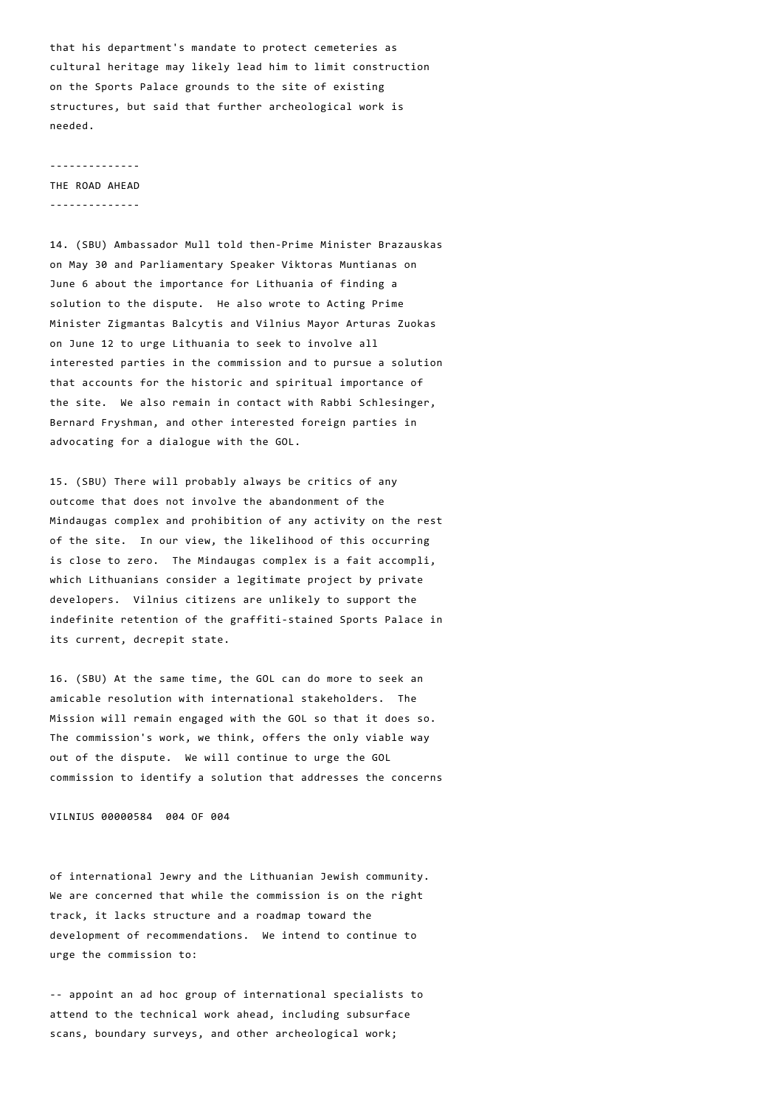that his department's mandate to protect cemeteries as cultural heritage may likely lead him to limit construction on the Sports Palace grounds to the site of existing structures, but said that further archeological work is needed.

#### ‐‐‐‐‐‐‐‐‐‐‐‐‐‐

THE ROAD AHEAD ‐‐‐‐‐‐‐‐‐‐‐‐‐‐

14. (SBU) Ambassador Mull told then‐Prime Minister Brazauskas on May 30 and Parliamentary Speaker Viktoras Muntianas on June 6 about the importance for Lithuania of finding a solution to the dispute. He also wrote to Acting Prime Minister Zigmantas Balcytis and Vilnius Mayor Arturas Zuokas on June 12 to urge Lithuania to seek to involve all interested parties in the commission and to pursue a solution that accounts for the historic and spiritual importance of the site. We also remain in contact with Rabbi Schlesinger, Bernard Fryshman, and other interested foreign parties in advocating for a dialogue with the GOL.

15. (SBU) There will probably always be critics of any outcome that does not involve the abandonment of the Mindaugas complex and prohibition of any activity on the rest of the site. In our view, the likelihood of this occurring is close to zero. The Mindaugas complex is a fait accompli, which Lithuanians consider a legitimate project by private developers. Vilnius citizens are unlikely to support the indefinite retention of the graffiti‐stained Sports Palace in its current, decrepit state.

16. (SBU) At the same time, the GOL can do more to seek an amicable resolution with international stakeholders. The Mission will remain engaged with the GOL so that it does so. The commission's work, we think, offers the only viable way out of the dispute. We will continue to urge the GOL commission to identify a solution that addresses the concerns

VILNIUS 00000584 004 OF 004

of international Jewry and the Lithuanian Jewish community. We are concerned that while the commission is on the right track, it lacks structure and a roadmap toward the development of recommendations. We intend to continue to urge the commission to:

‐‐ appoint an ad hoc group of international specialists to attend to the technical work ahead, including subsurface scans, boundary surveys, and other archeological work;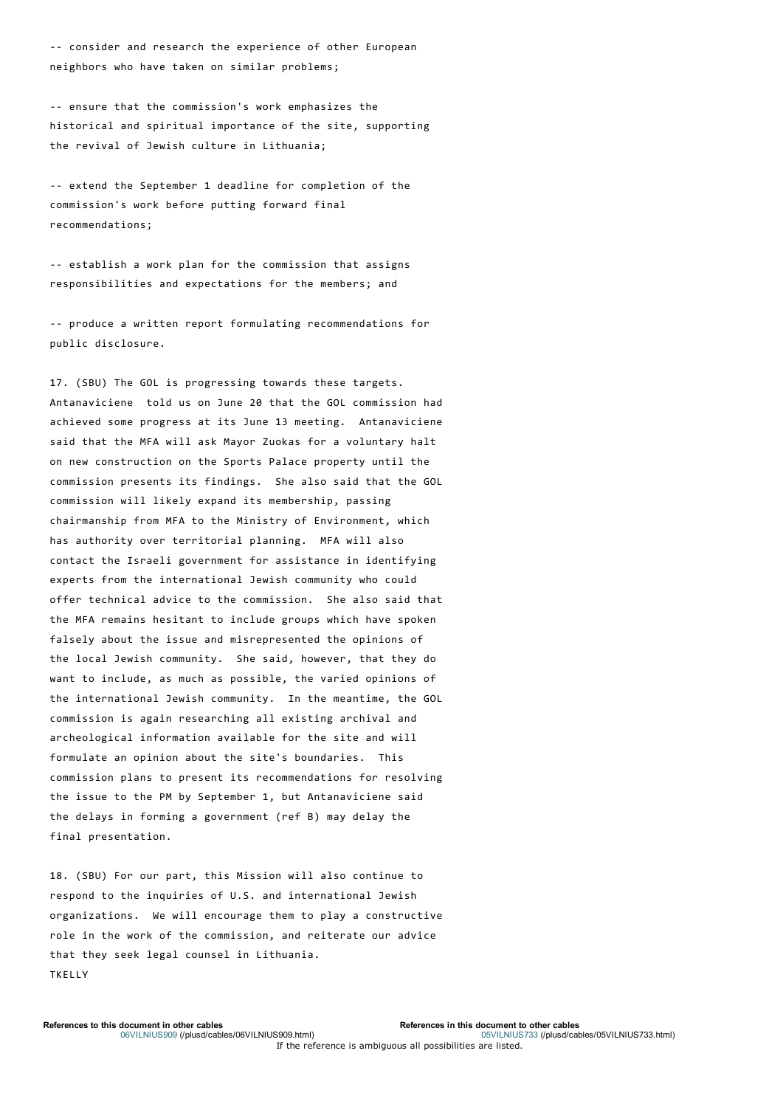‐‐ consider and research the experience of other European neighbors who have taken on similar problems;

‐‐ ensure that the commission's work emphasizes the historical and spiritual importance of the site, supporting the revival of Jewish culture in Lithuania;

‐‐ extend the September 1 deadline for completion of the commission's work before putting forward final recommendations;

‐‐ establish a work plan for the commission that assigns responsibilities and expectations for the members; and

‐‐ produce a written report formulating recommendations for public disclosure.

17. (SBU) The GOL is progressing towards these targets. Antanaviciene told us on June 20 that the GOL commission had achieved some progress at its June 13 meeting. Antanaviciene said that the MFA will ask Mayor Zuokas for a voluntary halt on new construction on the Sports Palace property until the commission presents its findings. She also said that the GOL commission will likely expand its membership, passing chairmanship from MFA to the Ministry of Environment, which has authority over territorial planning. MFA will also contact the Israeli government for assistance in identifying experts from the international Jewish community who could offer technical advice to the commission. She also said that the MFA remains hesitant to include groups which have spoken falsely about the issue and misrepresented the opinions of the local Jewish community. She said, however, that they do want to include, as much as possible, the varied opinions of the international Jewish community. In the meantime, the GOL commission is again researching all existing archival and archeological information available for the site and will formulate an opinion about the site's boundaries. This commission plans to present its recommendations for resolving the issue to the PM by September 1, but Antanaviciene said the delays in forming a government (ref B) may delay the final presentation.

18. (SBU) For our part, this Mission will also continue to respond to the inquiries of U.S. and international Jewish organizations. We will encourage them to play a constructive role in the work of the commission, and reiterate our advice that they seek legal counsel in Lithuania. TKELLY